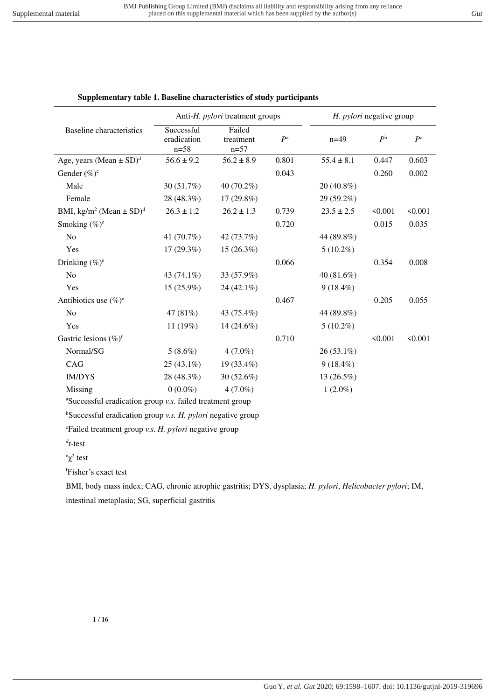| Supplementary table 1. Baseline characteristics of study participants |  |
|-----------------------------------------------------------------------|--|
|                                                                       |  |

|                                                     | Anti-H. <i>pylori</i> treatment groups |                               | H. pylori negative group |                |             |             |
|-----------------------------------------------------|----------------------------------------|-------------------------------|--------------------------|----------------|-------------|-------------|
| Baseline characteristics                            | Successful<br>eradication<br>$n = 58$  | Failed<br>treatment<br>$n=57$ | $P^{\rm a}$              | $n=49$         | $P^{\rm b}$ | $P^{\rm c}$ |
| Age, years (Mean $\pm$ SD) <sup>d</sup>             | $56.6 \pm 9.2$                         | $56.2 \pm 8.9$                | 0.801                    | $55.4 \pm 8.1$ | 0.447       | 0.603       |
| Gender $(\%)^e$                                     |                                        |                               | 0.043                    |                | 0.260       | 0.002       |
| Male                                                | 30 (51.7%)                             | 40 (70.2%)                    |                          | 20 (40.8%)     |             |             |
| Female                                              | 28 (48.3%)                             | $17(29.8\%)$                  |                          | 29 (59.2%)     |             |             |
| BMI, kg/m <sup>2</sup> (Mean $\pm$ SD) <sup>d</sup> | $26.3 \pm 1.2$                         | $26.2 \pm 1.3$                | 0.739                    | $23.5 \pm 2.5$ | < 0.001     | < 0.001     |
| Smoking $(\%)^e$                                    |                                        |                               | 0.720                    |                | 0.015       | 0.035       |
| N <sub>o</sub>                                      | 41 (70.7%)                             | 42 (73.7%)                    |                          | 44 (89.8%)     |             |             |
| Yes                                                 | 17(29.3%)                              | 15(26.3%)                     |                          | $5(10.2\%)$    |             |             |
| Drinking $(\%)^e$                                   |                                        |                               | 0.066                    |                | 0.354       | 0.008       |
| N <sub>o</sub>                                      | 43 (74.1%)                             | 33 (57.9%)                    |                          | 40 (81.6%)     |             |             |
| Yes                                                 | 15 (25.9%)                             | $24(42.1\%)$                  |                          | $9(18.4\%)$    |             |             |
| Antibiotics use $(\%)^e$                            |                                        |                               | 0.467                    |                | 0.205       | 0.055       |
| N <sub>o</sub>                                      | 47 (81%)                               | 43 (75.4%)                    |                          | 44 (89.8%)     |             |             |
| Yes                                                 | 11 (19%)                               | 14 (24.6%)                    |                          | $5(10.2\%)$    |             |             |
| Gastric lesions (%) <sup>f</sup>                    |                                        |                               | 0.710                    |                | < 0.001     | < 0.001     |
| Normal/SG                                           | $5(8.6\%)$                             | $4(7.0\%)$                    |                          | $26(53.1\%)$   |             |             |
| CAG                                                 | $25(43.1\%)$                           | 19 (33.4%)                    |                          | $9(18.4\%)$    |             |             |
| <b>IM/DYS</b>                                       | 28 (48.3%)                             | 30(52.6%)                     |                          | 13 (26.5%)     |             |             |
| Missing                                             | $0(0.0\%)$                             | $4(7.0\%)$                    |                          | $1(2.0\%)$     |             |             |

<sup>a</sup>Successful eradication group *v.s.* failed treatment group

<sup>b</sup>Successful eradication group *v.s. H. pylori* negative group

<sup>c</sup>Failed treatment group *v.s*. *H. pylori* negative group

*d t*-test

 $e^{\alpha}$ <sub>2</sub><sup>2</sup> test

<sup>f</sup>Fisher's exact test

BMI, body mass index; CAG, chronic atrophic gastritis; DYS, dysplasia; *H. pylori*, *Helicobacter pylori*; IM, intestinal metaplasia; SG, superficial gastritis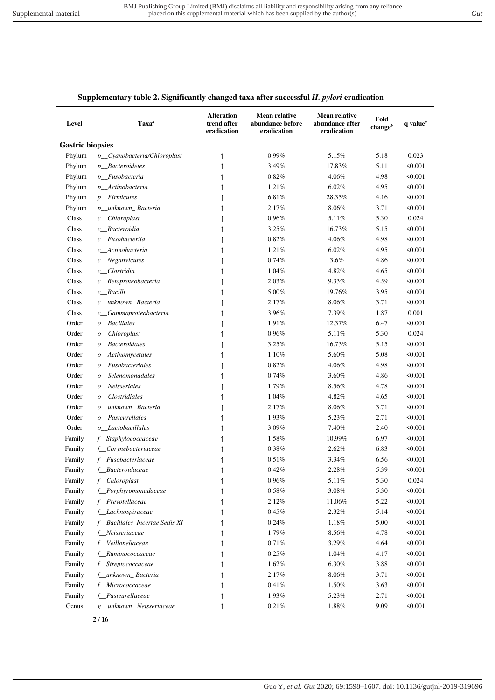## **Supplementary table 2. Significantly changed taxa after successful** *H. pylori* **eradication**

| Level                   | $\textbf{Taxa}^a$              | <b>Alteration</b><br>trend after<br>eradication | <b>Mean relative</b><br>abundance before<br>eradication | Mean relative<br>abundance after<br>eradication | Fold<br>changeb | $q$ value <sup><math>c</math></sup> |
|-------------------------|--------------------------------|-------------------------------------------------|---------------------------------------------------------|-------------------------------------------------|-----------------|-------------------------------------|
| <b>Gastric biopsies</b> |                                |                                                 |                                                         |                                                 |                 |                                     |
| Phylum                  | p_Cyanobacteria/Chloroplast    | ↑                                               | $0.99\%$                                                | 5.15%                                           | 5.18            | 0.023                               |
| Phylum                  | <i>p_Bacteroidetes</i>         | ↑                                               | 3.49%                                                   | 17.83%                                          | 5.11            | < 0.001                             |
| Phylum                  | p_Fusobacteria                 | ↑                                               | 0.82%                                                   | 4.06%                                           | 4.98            | < 0.001                             |
| Phylum                  | p_Actinobacteria               | ↑                                               | 1.21%                                                   | 6.02%                                           | 4.95            | < 0.001                             |
| Phylum                  | <i>p</i> Firmicutes            |                                                 | 6.81%                                                   | 28.35%                                          | 4.16            | < 0.001                             |
| Phylum                  | p_unknown_Bacteria             | ↑                                               | 2.17%                                                   | 8.06%                                           | 3.71            | < 0.001                             |
| Class                   | $c$ <sub>Chloroplast</sub>     |                                                 | 0.96%                                                   | 5.11%                                           | 5.30            | 0.024                               |
| Class                   | c_Bacteroidia                  | ↑                                               | 3.25%                                                   | 16.73%                                          | 5.15            | < 0.001                             |
| Class                   | c_Fusobacteriia                | ↑                                               | 0.82%                                                   | 4.06%                                           | 4.98            | < 0.001                             |
| Class                   | c_Actinobacteria               |                                                 | 1.21%                                                   | 6.02%                                           | 4.95            | < 0.001                             |
| Class                   | c_Negativicutes                |                                                 | 0.74%                                                   | 3.6%                                            | 4.86            | < 0.001                             |
| Class                   | c_Clostridia                   |                                                 | 1.04%                                                   | 4.82%                                           | 4.65            | < 0.001                             |
| Class                   | c_Betaproteobacteria           | ↑                                               | 2.03%                                                   | 9.33%                                           | 4.59            | < 0.001                             |
| Class                   | c_Bacilli                      | ↑                                               | 5.00%                                                   | 19.76%                                          | 3.95            | < 0.001                             |
| Class                   | c_unknown_Bacteria             |                                                 | 2.17%                                                   | 8.06%                                           | 3.71            | < 0.001                             |
| Class                   | c_Gammaproteobacteria          |                                                 | 3.96%                                                   | 7.39%                                           | 1.87            | 0.001                               |
| Order                   | o_Bacillales                   |                                                 | 1.91%                                                   | 12.37%                                          | 6.47            | < 0.001                             |
| Order                   | o_Chloroplast                  | ↑                                               | 0.96%                                                   | 5.11%                                           | 5.30            | 0.024                               |
| Order                   | o_Bacteroidales                | ↑                                               | 3.25%                                                   | 16.73%                                          | 5.15            | < 0.001                             |
| Order                   | o_Actinomycetales              |                                                 | 1.10%                                                   | 5.60%                                           | 5.08            | < 0.001                             |
| Order                   | o_Fusobacteriales              |                                                 | 0.82%                                                   | 4.06%                                           | 4.98            | < 0.001                             |
| Order                   | o_Selenomonadales              |                                                 | 0.74%                                                   | 3.60%                                           | 4.86            | < 0.001                             |
| Order                   | $o$ _Neisseriales              | ↑                                               | 1.79%                                                   | 8.56%                                           | 4.78            | < 0.001                             |
| Order                   | o Clostridiales                | ↑                                               | 1.04%                                                   | 4.82%                                           | 4.65            | < 0.001                             |
| Order                   | o unknown Bacteria             | ↑                                               | 2.17%                                                   | 8.06%                                           | 3.71            | < 0.001                             |
| Order                   | o_Pasteurellales               |                                                 | 1.93%                                                   | 5.23%                                           | 2.71            | < 0.001                             |
| Order                   | o Lactobacillales              |                                                 | 3.09%                                                   | 7.40%                                           | 2.40            | < 0.001                             |
| Family                  | f_Staphylococcaceae            | ↑                                               | 1.58%                                                   | 10.99%                                          | 6.97            | < 0.001                             |
| Family                  | f Corynebacteriaceae           | ↑                                               | 0.38%                                                   | 2.62%                                           | 6.83            | < 0.001                             |
| Family                  | f Fusobacteriaceae             |                                                 | 0.51%                                                   | 3.34%                                           | 6.56            | < 0.001                             |
| Family                  | f Bacteroidaceae               | ↑                                               | 0.42%                                                   | 2.28%                                           | 5.39            | < 0.001                             |
| Family                  | f_Chloroplast                  | T                                               | $0.96\%$                                                | $5.11\%$                                        | 5.30            | 0.024                               |
| Family                  | f_Porphyromonadaceae           | ↑                                               | $0.58\%$                                                | $3.08\%$                                        | 5.30            | < 0.001                             |
| Family                  | f_Prevotellaceae               |                                                 | 2.12%                                                   | 11.06%                                          | 5.22            | < 0.001                             |
| Family                  | f_Lachnospiraceae              |                                                 | $0.45\%$                                                | 2.32%                                           | 5.14            | < 0.001                             |
| Family                  | f Bacillales Incertae Sedis XI |                                                 | 0.24%                                                   | 1.18%                                           | 5.00            | < 0.001                             |
| Family                  | f_Neisseriaceae                |                                                 | 1.79%                                                   | 8.56%                                           | 4.78            | < 0.001                             |
| Family                  | f_Veillonellaceae              | ↑                                               | $0.71\%$                                                | 3.29%                                           | 4.64            | < 0.001                             |
| Family                  | f_Ruminococcaceae              |                                                 | 0.25%                                                   | 1.04%                                           | 4.17            | < 0.001                             |
| Family                  | f_Streptococcaceae             |                                                 | 1.62%                                                   | 6.30%                                           | 3.88            | < 0.001                             |
| Family                  | f_unknown_Bacteria             |                                                 | 2.17%                                                   | $8.06\%$                                        | 3.71            | < 0.001                             |
| Family                  | f Micrococcaceae               |                                                 | 0.41%                                                   | 1.50%                                           | 3.63            | < 0.001                             |
| Family                  | f_Pasteurellaceae              | ↑                                               | 1.93%                                                   | 5.23%                                           | 2.71            | < 0.001                             |
| Genus                   | g_unknown_Neisseriaceae        | ↑                                               | 0.21%                                                   | 1.88%                                           | 9.09            | < 0.001                             |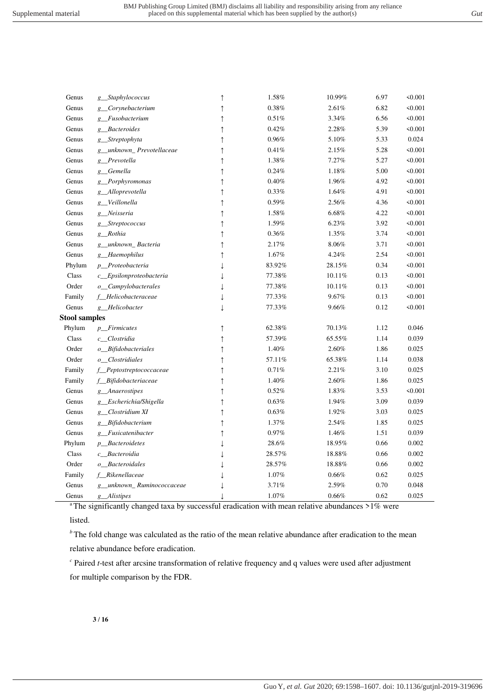Genus *g\_\_Staphylococcus* ↑ 1.58% 10.99% 6.97 <0.001

| Genus                | g Corynebacterium           | $\uparrow$ | $0.38\%$ | 2.61%  | 6.82 | < 0.001 |
|----------------------|-----------------------------|------------|----------|--------|------|---------|
| Genus                | g Fusobacterium             | ↑          | 0.51%    | 3.34%  | 6.56 | < 0.001 |
| Genus                | g Bacteroides               | ↑          | 0.42%    | 2.28%  | 5.39 | < 0.001 |
| Genus                | g_Streptophyta              | $\uparrow$ | 0.96%    | 5.10%  | 5.33 | 0.024   |
| Genus                | g_unknown_Prevotellaceae    | ↑          | 0.41%    | 2.15%  | 5.28 | < 0.001 |
| Genus                | g Prevotella                | $\uparrow$ | 1.38%    | 7.27%  | 5.27 | < 0.001 |
| Genus                | g_Gemella                   | $\uparrow$ | 0.24%    | 1.18%  | 5.00 | < 0.001 |
| Genus                | g_Porphyromonas             | ↑          | 0.40%    | 1.96%  | 4.92 | < 0.001 |
| Genus                | g_Alloprevotella            | $\uparrow$ | 0.33%    | 1.64%  | 4.91 | < 0.001 |
| Genus                | g Veillonella               | $\uparrow$ | 0.59%    | 2.56%  | 4.36 | < 0.001 |
| Genus                | g Neisseria                 | ↑          | 1.58%    | 6.68%  | 4.22 | < 0.001 |
| Genus                | g_Streptococcus             | ↑          | 1.59%    | 6.23%  | 3.92 | < 0.001 |
| Genus                | g Rothia                    | ↑          | 0.36%    | 1.35%  | 3.74 | < 0.001 |
| Genus                | g unknown Bacteria          | ↑          | 2.17%    | 8.06%  | 3.71 | < 0.001 |
| Genus                | g_Haemophilus               | ↑          | 1.67%    | 4.24%  | 2.54 | < 0.001 |
| Phylum               | p_Proteobacteria            |            | 83.92%   | 28.15% | 0.34 | 50.001  |
| Class                | c_Epsilonproteobacteria     |            | 77.38%   | 10.11% | 0.13 | < 0.001 |
| Order                | o_Campylobacterales         |            | 77.38%   | 10.11% | 0.13 | < 0.001 |
| Family               | f_Helicobacteraceae         |            | 77.33%   | 9.67%  | 0.13 | 50.001  |
| Genus                | g Helicobacter              |            | 77.33%   | 9.66%  | 0.12 | < 0.001 |
| <b>Stool samples</b> |                             |            |          |        |      |         |
| Phylum               | p_Firmicutes                | $\uparrow$ | 62.38%   | 70.13% | 1.12 | 0.046   |
| Class                | c Clostridia                | $\uparrow$ | 57.39%   | 65.55% | 1.14 | 0.039   |
| Order                | o_Bifidobacteriales         | ↑          | 1.40%    | 2.60%  | 1.86 | 0.025   |
| Order                | o_Clostridiales             | ↑          | 57.11%   | 65.38% | 1.14 | 0.038   |
| Family               | f_Peptostreptococcaceae     | $\uparrow$ | 0.71%    | 2.21%  | 3.10 | 0.025   |
| Family               | f_Bifidobacteriaceae        | ↑          | 1.40%    | 2.60%  | 1.86 | 0.025   |
| Genus                | g Anaerostipes              | $\uparrow$ | 0.52%    | 1.83%  | 3.53 | < 0.001 |
| Genus                | g_Escherichia/Shigella      | $\uparrow$ | 0.63%    | 1.94%  | 3.09 | 0.039   |
| Genus                | g_Clostridium XI            | ↑          | 0.63%    | 1.92%  | 3.03 | 0.025   |
| Genus                | g_Bifidobacterium           | ↑          | 1.37%    | 2.54%  | 1.85 | 0.025   |
| Genus                | g_Fusicatenibacter          | ↑          | 0.97%    | 1.46%  | 1.51 | 0.039   |
| Phylum               | <i>p_Bacteroidetes</i>      |            | 28.6%    | 18.95% | 0.66 | 0.002   |
| Class                | c_Bacteroidia               |            | 28.57%   | 18.88% | 0.66 | 0.002   |
| Order                | o_Bacteroidales             |            | 28.57%   | 18.88% | 0.66 | 0.002   |
| Family               | f_Rikenellaceae             |            | 1.07%    | 0.66%  | 0.62 | 0.025   |
| Genus                | g_unknown_Ruminococcaceae   |            | 3.71%    | 2.59%  | 0.70 | 0.048   |
| Genus                | <i>Alistipes</i><br>$g_{-}$ |            | 1.07%    | 0.66%  | 0.62 | 0.025   |
|                      |                             |            |          |        |      |         |

<sup>a</sup>The significantly changed taxa by successful eradication with mean relative abundances >1% were

listed.

*b* The fold change was calculated as the ratio of the mean relative abundance after eradication to the mean relative abundance before eradication.

*c* Paired *t*-test after arcsine transformation of relative frequency and q values were used after adjustment for multiple comparison by the FDR.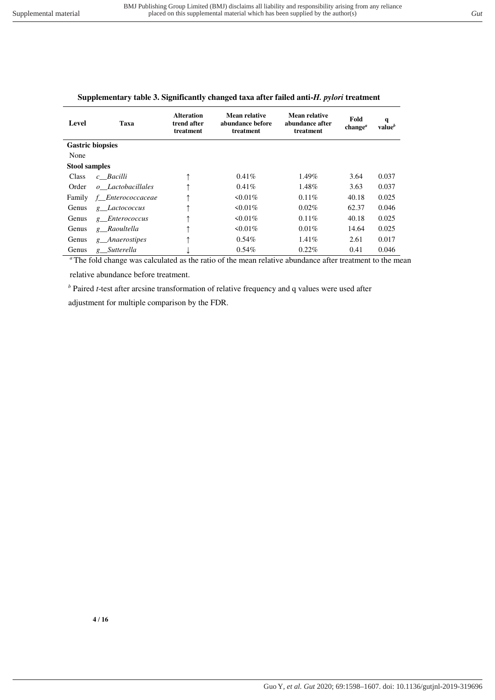| Level                | Taxa                    | <b>Alteration</b><br>trend after<br>treatment | Mean relative<br>abundance before<br>treatment | Mean relative<br>abundance after<br>treatment | Fold<br>change <sup><math>a</math></sup> | q<br>value <sup>b</sup> |
|----------------------|-------------------------|-----------------------------------------------|------------------------------------------------|-----------------------------------------------|------------------------------------------|-------------------------|
|                      | <b>Gastric biopsies</b> |                                               |                                                |                                               |                                          |                         |
| None                 |                         |                                               |                                                |                                               |                                          |                         |
| <b>Stool samples</b> |                         |                                               |                                                |                                               |                                          |                         |
| Class                | c Bacilli               |                                               | $0.41\%$                                       | $1.49\%$                                      | 3.64                                     | 0.037                   |
| Order                | o Lactobacillales       |                                               | 0.41%                                          | 1.48%                                         | 3.63                                     | 0.037                   |
| Family               | f Enterococcaceae       |                                               | $50.01\%$                                      | 0.11%                                         | 40.18                                    | 0.025                   |
| Genus                | g Lactococcus           |                                               | $50.01\%$                                      | 0.02%                                         | 62.37                                    | 0.046                   |
| Genus                | g Enterococcus          | ᠰ                                             | $\leq 0.01\%$                                  | $0.11\%$                                      | 40.18                                    | 0.025                   |
| Genus                | g Raoultella            |                                               | $50.01\%$                                      | 0.01%                                         | 14.64                                    | 0.025                   |
| Genus                | g Anaerostipes          |                                               | $0.54\%$                                       | 1.41%                                         | 2.61                                     | 0.017                   |
| Genus                | g Sutterella            |                                               | 0.54%                                          | 0.22%                                         | 0.41                                     | 0.046                   |

#### **Supplementary table 3. Significantly changed taxa after failed anti-***H. pylori* **treatment**

<sup>a</sup>The fold change was calculated as the ratio of the mean relative abundance after treatment to the mean

relative abundance before treatment.

*b* Paired *t*-test after arcsine transformation of relative frequency and q values were used after

adjustment for multiple comparison by the FDR.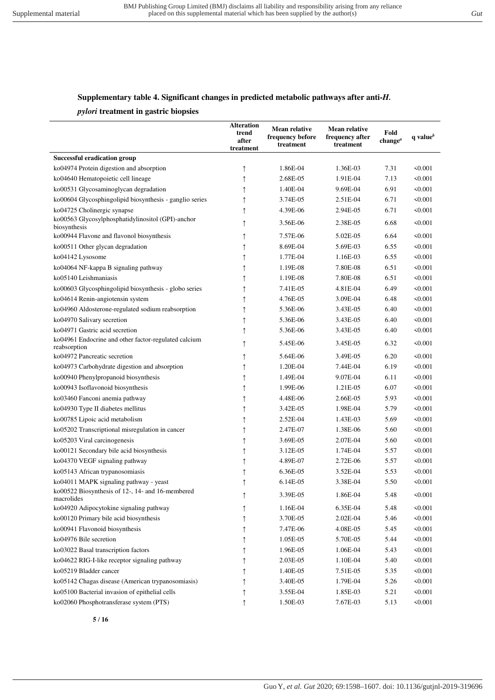## **Supplementary table 4. Significant changes in predicted metabolic pathways after anti-***H.*

#### *pylori* **treatment in gastric biopsies**

|                                                                      | <b>Alteration</b><br>trend<br>after<br>treatment | Mean relative<br>frequency before<br>treatment | Mean relative<br>frequency after<br>treatment | Fold<br>change <sup><math>a</math></sup> | $q$ value $b$ |
|----------------------------------------------------------------------|--------------------------------------------------|------------------------------------------------|-----------------------------------------------|------------------------------------------|---------------|
| <b>Successful eradication group</b>                                  |                                                  |                                                |                                               |                                          |               |
| ko04974 Protein digestion and absorption                             | ↑                                                | 1.86E-04                                       | 1.36E-03                                      | 7.31                                     | < 0.001       |
| ko04640 Hematopoietic cell lineage                                   | ↑                                                | 2.68E-05                                       | 1.91E-04                                      | 7.13                                     | < 0.001       |
| ko00531 Glycosaminoglycan degradation                                | ↑                                                | 1.40E-04                                       | 9.69E-04                                      | 6.91                                     | $\leq 0.001$  |
| ko00604 Glycosphingolipid biosynthesis - ganglio series              | ↑                                                | 3.74E-05                                       | 2.51E-04                                      | 6.71                                     | $\leq 0.001$  |
| ko04725 Cholinergic synapse                                          | ↑                                                | 4.39E-06                                       | 2.94E-05                                      | 6.71                                     | 50.001        |
| ko00563 Glycosylphosphatidylinositol (GPI)-anchor<br>biosynthesis    | ↑                                                | 3.56E-06                                       | 2.38E-05                                      | 6.68                                     | $\leq 0.001$  |
| ko00944 Flavone and flavonol biosynthesis                            | ↑                                                | 7.57E-06                                       | 5.02E-05                                      | 6.64                                     | 50.001        |
| ko00511 Other glycan degradation                                     | ↑                                                | 8.69E-04                                       | 5.69E-03                                      | 6.55                                     | $\leq 0.001$  |
| ko04142 Lysosome                                                     |                                                  | 1.77E-04                                       | 1.16E-03                                      | 6.55                                     | < 0.001       |
| ko04064 NF-kappa B signaling pathway                                 | ↑                                                | 1.19E-08                                       | 7.80E-08                                      | 6.51                                     | $\leq 0.001$  |
| ko05140 Leishmaniasis                                                | ↑                                                | 1.19E-08                                       | 7.80E-08                                      | 6.51                                     | < 0.001       |
| ko00603 Glycosphingolipid biosynthesis - globo series                | ↑                                                | 7.41E-05                                       | 4.81E-04                                      | 6.49                                     | 50.001        |
| ko04614 Renin-angiotensin system                                     | ↑                                                | 4.76E-05                                       | 3.09E-04                                      | 6.48                                     | $\leq 0.001$  |
| ko04960 Aldosterone-regulated sodium reabsorption                    | ↑                                                | 5.36E-06                                       | 3.43E-05                                      | 6.40                                     | 50.001        |
| ko04970 Salivary secretion                                           | ↑                                                | 5.36E-06                                       | 3.43E-05                                      | 6.40                                     | $\leq 0.001$  |
| ko04971 Gastric acid secretion                                       | $\uparrow$                                       | 5.36E-06                                       | 3.43E-05                                      | 6.40                                     | 50.001        |
| ko04961 Endocrine and other factor-regulated calcium<br>reabsorption | ↑                                                | 5.45E-06                                       | 3.45E-05                                      | 6.32                                     | 50.001        |
| ko04972 Pancreatic secretion                                         | ↑                                                | 5.64E-06                                       | 3.49E-05                                      | 6.20                                     | $\leq 0.001$  |
| ko04973 Carbohydrate digestion and absorption                        | ↑                                                | 1.20E-04                                       | 7.44E-04                                      | 6.19                                     | < 0.001       |
| ko00940 Phenylpropanoid biosynthesis                                 | ↑                                                | 1.49E-04                                       | 9.07E-04                                      | 6.11                                     | < 0.001       |
| ko00943 Isoflavonoid biosynthesis                                    | ↑                                                | 1.99E-06                                       | 1.21E-05                                      | 6.07                                     | < 0.001       |
| ko03460 Fanconi anemia pathway                                       | ↑                                                | 4.48E-06                                       | 2.66E-05                                      | 5.93                                     | 50.001        |
| ko04930 Type II diabetes mellitus                                    | ↑                                                | 3.42E-05                                       | 1.98E-04                                      | 5.79                                     | $\leq 0.001$  |
| ko00785 Lipoic acid metabolism                                       | ↑                                                | 2.52E-04                                       | 1.43E-03                                      | 5.69                                     | $\leq 0.001$  |
| ko05202 Transcriptional misregulation in cancer                      | ↑                                                | 2.47E-07                                       | 1.38E-06                                      | 5.60                                     | 50.001        |
| ko05203 Viral carcinogenesis                                         | ↑                                                | 3.69E-05                                       | 2.07E-04                                      | 5.60                                     | 50.001        |
| ko00121 Secondary bile acid biosynthesis                             | ↑                                                | 3.12E-05                                       | 1.74E-04                                      | 5.57                                     | 50.001        |
| ko04370 VEGF signaling pathway                                       | ↑                                                | 4.89E-07                                       | 2.72E-06                                      | 5.57                                     | 50.001        |
| ko05143 African trypanosomiasis                                      |                                                  | 6.36E-05                                       | 3.52E-04                                      | 5.53                                     | < 0.001       |
| ko04011 MAPK signaling pathway - yeast                               | ↑                                                | 6.14E-05                                       | 3.38E-04                                      | 5.50                                     | $\leq 0.001$  |
| ko00522 Biosynthesis of 12-, 14- and 16-membered<br>macrolides       |                                                  | 3.39E-05                                       | 1.86E-04                                      | 5.48                                     | < 0.001       |
| ko04920 Adipocytokine signaling pathway                              | ↑                                                | 1.16E-04                                       | 6.35E-04                                      | 5.48                                     | < 0.001       |
| ko00120 Primary bile acid biosynthesis                               | ↑                                                | 3.70E-05                                       | 2.02E-04                                      | 5.46                                     | < 0.001       |
| ko00941 Flavonoid biosynthesis                                       | ↑                                                | 7.47E-06                                       | 4.08E-05                                      | 5.45                                     | < 0.001       |
| ko04976 Bile secretion                                               | ↑                                                | 1.05E-05                                       | 5.70E-05                                      | 5.44                                     | < 0.001       |
| ko03022 Basal transcription factors                                  | î                                                | 1.96E-05                                       | 1.06E-04                                      | 5.43                                     | < 0.001       |
| ko04622 RIG-I-like receptor signaling pathway                        | ↑                                                | 2.03E-05                                       | 1.10E-04                                      | 5.40                                     | < 0.001       |
| ko05219 Bladder cancer                                               |                                                  | 1.40E-05                                       | 7.51E-05                                      | 5.35                                     | < 0.001       |
| ko05142 Chagas disease (American trypanosomiasis)                    |                                                  | 3.40E-05                                       | 1.79E-04                                      | 5.26                                     | < 0.001       |
| ko05100 Bacterial invasion of epithelial cells                       |                                                  | 3.55E-04                                       | 1.85E-03                                      | 5.21                                     | < 0.001       |
| ko02060 Phosphotransferase system (PTS)                              | $\uparrow$                                       | 1.50E-03                                       | 7.67E-03                                      | 5.13                                     | < 0.001       |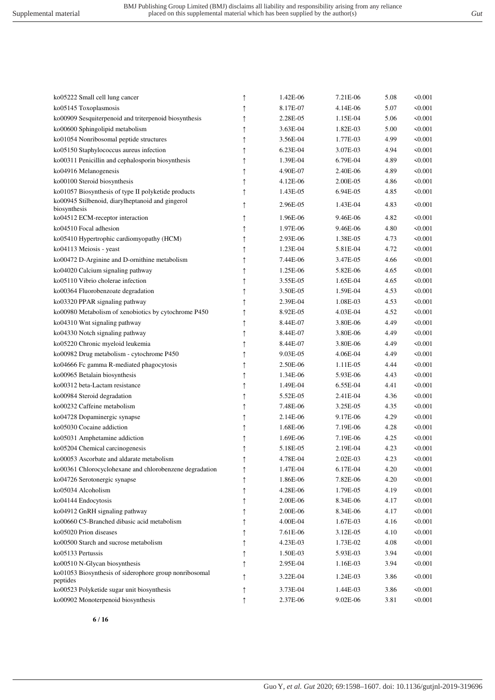| ko05222 Small cell lung cancer                                     | ↑          | 1.42E-06   | 7.21E-06 | 5.08 | < 0.001      |
|--------------------------------------------------------------------|------------|------------|----------|------|--------------|
| ko05145 Toxoplasmosis                                              | $\uparrow$ | 8.17E-07   | 4.14E-06 | 5.07 | < 0.001      |
| ko00909 Sesquiterpenoid and triterpenoid biosynthesis              | $\uparrow$ | 2.28E-05   | 1.15E-04 | 5.06 | < 0.001      |
| ko00600 Sphingolipid metabolism                                    | $\uparrow$ | 3.63E-04   | 1.82E-03 | 5.00 | < 0.001      |
| ko01054 Nonribosomal peptide structures                            | $\uparrow$ | 3.56E-04   | 1.77E-03 | 4.99 | $\leq 0.001$ |
| ko05150 Staphylococcus aureus infection                            | $\uparrow$ | $6.23E-04$ | 3.07E-03 | 4.94 | $\leq 0.001$ |
| ko00311 Penicillin and cephalosporin biosynthesis                  | $\uparrow$ | 1.39E-04   | 6.79E-04 | 4.89 | $\leq 0.001$ |
| ko04916 Melanogenesis                                              | $\uparrow$ | 4.90E-07   | 2.40E-06 | 4.89 | < 0.001      |
| ko00100 Steroid biosynthesis                                       | $\uparrow$ | 4.12E-06   | 2.00E-05 | 4.86 | < 0.001      |
| ko01057 Biosynthesis of type II polyketide products                | $\uparrow$ | 1.43E-05   | 6.94E-05 | 4.85 | < 0.001      |
| ko00945 Stilbenoid, diarylheptanoid and gingerol<br>biosynthesis   | $\uparrow$ | 2.96E-05   | 1.43E-04 | 4.83 | $\leq 0.001$ |
| ko04512 ECM-receptor interaction                                   | $\uparrow$ | 1.96E-06   | 9.46E-06 | 4.82 | < 0.001      |
| ko04510 Focal adhesion                                             | $\uparrow$ | 1.97E-06   | 9.46E-06 | 4.80 | < 0.001      |
| ko05410 Hypertrophic cardiomyopathy (HCM)                          | $\uparrow$ | 2.93E-06   | 1.38E-05 | 4.73 | $\leq 0.001$ |
| ko04113 Meiosis - yeast                                            | $\uparrow$ | 1.23E-04   | 5.81E-04 | 4.72 | < 0.001      |
| ko00472 D-Arginine and D-ornithine metabolism                      | $\uparrow$ | 7.44E-06   | 3.47E-05 | 4.66 | $\leq 0.001$ |
| ko04020 Calcium signaling pathway                                  | $\uparrow$ | 1.25E-06   | 5.82E-06 | 4.65 | 50.001       |
| ko05110 Vibrio cholerae infection                                  | $\uparrow$ | 3.55E-05   | 1.65E-04 | 4.65 | < 0.001      |
| ko00364 Fluorobenzoate degradation                                 | $\uparrow$ | 3.50E-05   | 1.59E-04 | 4.53 | < 0.001      |
| ko03320 PPAR signaling pathway                                     | $\uparrow$ | 2.39E-04   | 1.08E-03 | 4.53 | < 0.001      |
| ko00980 Metabolism of xenobiotics by cytochrome P450               | $\uparrow$ | 8.92E-05   | 4.03E-04 | 4.52 | < 0.001      |
| ko04310 Wnt signaling pathway                                      | ↑          | 8.44E-07   | 3.80E-06 | 4.49 | < 0.001      |
| ko04330 Notch signaling pathway                                    | $\uparrow$ | 8.44E-07   | 3.80E-06 | 4.49 | < 0.001      |
| ko05220 Chronic myeloid leukemia                                   | $\uparrow$ | 8.44E-07   | 3.80E-06 | 4.49 | < 0.001      |
| ko00982 Drug metabolism - cytochrome P450                          | $\uparrow$ | 9.03E-05   | 4.06E-04 | 4.49 | $\leq 0.001$ |
| ko04666 Fc gamma R-mediated phagocytosis                           | $\uparrow$ | 2.50E-06   | 1.11E-05 | 4.44 | $\leq 0.001$ |
| ko00965 Betalain biosynthesis                                      | $\uparrow$ | 1.34E-06   | 5.93E-06 | 4.43 | $\leq 0.001$ |
| ko00312 beta-Lactam resistance                                     | $\uparrow$ | 1.49E-04   | 6.55E-04 | 4.41 | < 0.001      |
| ko00984 Steroid degradation                                        | $\uparrow$ | 5.52E-05   | 2.41E-04 | 4.36 | < 0.001      |
| ko00232 Caffeine metabolism                                        | $\uparrow$ | 7.48E-06   | 3.25E-05 | 4.35 | < 0.001      |
| ko04728 Dopaminergic synapse                                       | $\uparrow$ | 2.14E-06   | 9.17E-06 | 4.29 | $\leq 0.001$ |
| ko05030 Cocaine addiction                                          | $\uparrow$ | 1.68E-06   | 7.19E-06 | 4.28 | < 0.001      |
| ko05031 Amphetamine addiction                                      | $\uparrow$ | 1.69E-06   | 7.19E-06 | 4.25 | < 0.001      |
| ko05204 Chemical carcinogenesis                                    | $\uparrow$ | 5.18E-05   | 2.19E-04 | 4.23 | < 0.001      |
| ko00053 Ascorbate and aldarate metabolism                          | $\uparrow$ | 4.78E-04   | 2.02E-03 | 4.23 | < 0.001      |
| ko00361 Chlorocyclohexane and chlorobenzene degradation            | ↑          | 1.47E-04   | 6.17E-04 | 4.20 | < 0.001      |
| ko04726 Serotonergic synapse                                       | $\uparrow$ | 1.86E-06   | 7.82E-06 | 4.20 | < 0.001      |
| ko05034 Alcoholism                                                 | $\uparrow$ | 4.28E-06   | 1.79E-05 | 4.19 | < 0.001      |
| ko04144 Endocytosis                                                | ↑          | 2.00E-06   | 8.34E-06 | 4.17 | < 0.001      |
| ko04912 GnRH signaling pathway                                     | ↑          | 2.00E-06   | 8.34E-06 | 4.17 | < 0.001      |
| ko00660 C5-Branched dibasic acid metabolism                        | ↑          | 4.00E-04   | 1.67E-03 | 4.16 | < 0.001      |
| ko05020 Prion diseases                                             | $\uparrow$ | 7.61E-06   | 3.12E-05 | 4.10 | < 0.001      |
| ko00500 Starch and sucrose metabolism                              | $\uparrow$ | 4.23E-03   | 1.73E-02 | 4.08 | < 0.001      |
| ko05133 Pertussis                                                  | ↑          | 1.50E-03   | 5.93E-03 | 3.94 | 50.001       |
| ko00510 N-Glycan biosynthesis                                      | $\uparrow$ | 2.95E-04   | 1.16E-03 | 3.94 | 50.001       |
| ko01053 Biosynthesis of siderophore group nonribosomal<br>peptides | $\uparrow$ | 3.22E-04   | 1.24E-03 | 3.86 | < 0.001      |
| ko00523 Polyketide sugar unit biosynthesis                         | $\uparrow$ | 3.73E-04   | 1.44E-03 | 3.86 | < 0.001      |
| ko00902 Monoterpenoid biosynthesis                                 | $\uparrow$ | 2.37E-06   | 9.02E-06 | 3.81 | < 0.001      |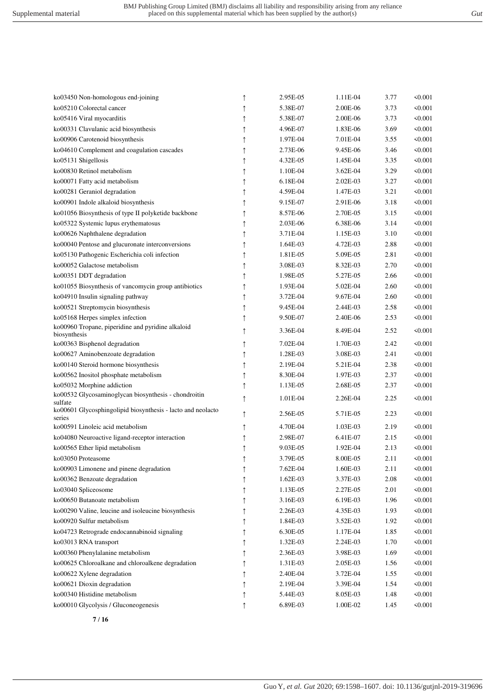| ko03450 Non-homologous end-joining                                    | ↑          | 2.95E-05 | 1.11E-04   | 3.77 | < 0.001      |
|-----------------------------------------------------------------------|------------|----------|------------|------|--------------|
| ko05210 Colorectal cancer                                             | $\uparrow$ | 5.38E-07 | 2.00E-06   | 3.73 | < 0.001      |
| ko05416 Viral myocarditis                                             | $\uparrow$ | 5.38E-07 | 2.00E-06   | 3.73 | < 0.001      |
| ko00331 Clavulanic acid biosynthesis                                  | $\uparrow$ | 4.96E-07 | 1.83E-06   | 3.69 | < 0.001      |
| ko00906 Carotenoid biosynthesis                                       | ↑          | 1.97E-04 | 7.01E-04   | 3.55 | < 0.001      |
| ko04610 Complement and coagulation cascades                           | ↑          | 2.73E-06 | 9.45E-06   | 3.46 | < 0.001      |
| ko05131 Shigellosis                                                   | ↑          | 4.32E-05 | 1.45E-04   | 3.35 | < 0.001      |
| ko00830 Retinol metabolism                                            | ↑          | 1.10E-04 | 3.62E-04   | 3.29 | < 0.001      |
| ko00071 Fatty acid metabolism                                         | ↑          | 6.18E-04 | $2.02E-03$ | 3.27 | < 0.001      |
| ko00281 Geraniol degradation                                          | ↑          | 4.59E-04 | 1.47E-03   | 3.21 | $\leq 0.001$ |
| ko00901 Indole alkaloid biosynthesis                                  | ↑          | 9.15E-07 | 2.91E-06   | 3.18 | < 0.001      |
| ko01056 Biosynthesis of type II polyketide backbone                   | ↑          | 8.57E-06 | 2.70E-05   | 3.15 | 50.001       |
| ko05322 Systemic lupus erythematosus                                  | ↑          | 2.03E-06 | 6.38E-06   | 3.14 | 50.001       |
| ko00626 Naphthalene degradation                                       | $\uparrow$ | 3.71E-04 | 1.15E-03   | 3.10 | < 0.001      |
| ko00040 Pentose and glucuronate interconversions                      | $\uparrow$ | 1.64E-03 | 4.72E-03   | 2.88 | 50.001       |
| ko05130 Pathogenic Escherichia coli infection                         | ↑          | 1.81E-05 | 5.09E-05   | 2.81 | < 0.001      |
| ko00052 Galactose metabolism                                          | ↑          | 3.08E-03 | 8.32E-03   | 2.70 | < 0.001      |
| ko00351 DDT degradation                                               | ↑          | 1.98E-05 | 5.27E-05   | 2.66 | < 0.001      |
| ko01055 Biosynthesis of vancomycin group antibiotics                  | $\uparrow$ | 1.93E-04 | 5.02E-04   | 2.60 | < 0.001      |
| ko04910 Insulin signaling pathway                                     | ↑          | 3.72E-04 | 9.67E-04   | 2.60 | < 0.001      |
| ko00521 Streptomycin biosynthesis                                     | ↑          | 9.45E-04 | 2.44E-03   | 2.58 | < 0.001      |
| ko05168 Herpes simplex infection                                      | $\uparrow$ | 9.50E-07 | 2.40E-06   | 2.53 | 50.001       |
| ko00960 Tropane, piperidine and pyridine alkaloid<br>biosynthesis     | $\uparrow$ | 3.36E-04 | 8.49E-04   | 2.52 | < 0.001      |
| ko00363 Bisphenol degradation                                         | ↑          | 7.02E-04 | 1.70E-03   | 2.42 | < 0.001      |
| ko00627 Aminobenzoate degradation                                     | $\uparrow$ | 1.28E-03 | 3.08E-03   | 2.41 | 50.001       |
| ko00140 Steroid hormone biosynthesis                                  | $\uparrow$ | 2.19E-04 | 5.21E-04   | 2.38 | < 0.001      |
| ko00562 Inositol phosphate metabolism                                 | ↑          | 8.30E-04 | 1.97E-03   | 2.37 | < 0.001      |
| ko05032 Morphine addiction                                            | $\uparrow$ | 1.13E-05 | 2.68E-05   | 2.37 | < 0.001      |
| ko00532 Glycosaminoglycan biosynthesis - chondroitin<br>sulfate       | $\uparrow$ | 1.01E-04 | 2.26E-04   | 2.25 | 50.001       |
| ko00601 Glycosphingolipid biosynthesis - lacto and neolacto<br>series | $\uparrow$ | 2.56E-05 | 5.71E-05   | 2.23 | $\leq 0.001$ |
| ko00591 Linoleic acid metabolism                                      | ↑          | 4.70E-04 | 1.03E-03   | 2.19 | < 0.001      |
| ko04080 Neuroactive ligand-receptor interaction                       | $\uparrow$ | 2.98E-07 | 6.41E-07   | 2.15 | 50.001       |
| ko00565 Ether lipid metabolism                                        | $\uparrow$ | 9.03E-05 | 1.92E-04   | 2.13 | 50.001       |
| ko03050 Proteasome                                                    | $\uparrow$ | 3.79E-05 | 8.00E-05   | 2.11 | < 0.001      |
| ko00903 Limonene and pinene degradation                               |            | 7.62E-04 | 1.60E-03   | 2.11 | 50.001       |
| ko00362 Benzoate degradation                                          |            | 1.62E-03 | 3.37E-03   | 2.08 | < 0.001      |
| ko03040 Spliceosome                                                   | ↑          | 1.13E-05 | 2.27E-05   | 2.01 | < 0.001      |
| ko00650 Butanoate metabolism                                          | ↑          | 3.16E-03 | 6.19E-03   | 1.96 | < 0.001      |
| ko00290 Valine, leucine and isoleucine biosynthesis                   | ↑          | 2.26E-03 | 4.35E-03   | 1.93 | < 0.001      |
| ko00920 Sulfur metabolism                                             | ↑          | 1.84E-03 | 3.52E-03   | 1.92 | < 0.001      |
| ko04723 Retrograde endocannabinoid signaling                          | ↑          | 6.30E-05 | 1.17E-04   | 1.85 | < 0.001      |
| ko03013 RNA transport                                                 | $\uparrow$ | 1.32E-03 | 2.24E-03   | 1.70 | < 0.001      |
| ko00360 Phenylalanine metabolism                                      | $\uparrow$ | 2.36E-03 | 3.98E-03   | 1.69 | < 0.001      |
| ko00625 Chloroalkane and chloroalkene degradation                     | $\uparrow$ | 1.31E-03 | 2.05E-03   | 1.56 | < 0.001      |
| ko00622 Xylene degradation                                            | ↑          | 2.40E-04 | 3.72E-04   | 1.55 | < 0.001      |
| ko00621 Dioxin degradation                                            | ↑          | 2.19E-04 | 3.39E-04   | 1.54 | < 0.001      |
| ko00340 Histidine metabolism                                          | ↑          | 5.44E-03 | 8.05E-03   | 1.48 | < 0.001      |
| ko00010 Glycolysis / Gluconeogenesis                                  | ↑          | 6.89E-03 | 1.00E-02   | 1.45 | < 0.001      |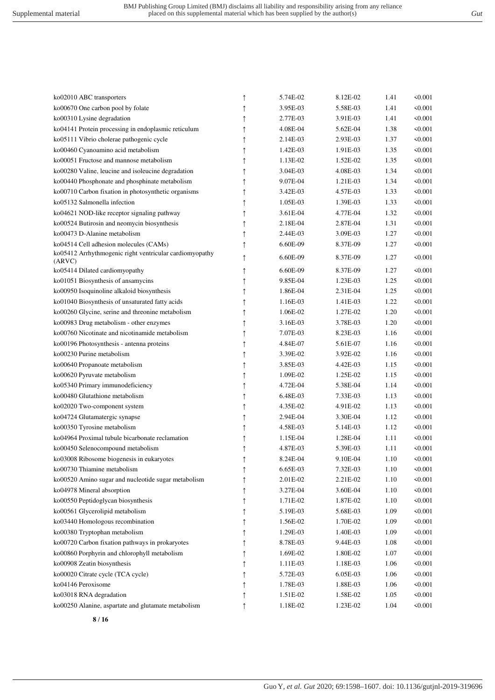| ko02010 ABC transporters                                          | ↑          | 5.74E-02 | 8.12E-02 | 1.41     | < 0.001      |
|-------------------------------------------------------------------|------------|----------|----------|----------|--------------|
| ko00670 One carbon pool by folate                                 | $\uparrow$ | 3.95E-03 | 5.58E-03 | 1.41     | 50.001       |
| ko00310 Lysine degradation                                        | ↑          | 2.77E-03 | 3.91E-03 | 1.41     | < 0.001      |
| ko04141 Protein processing in endoplasmic reticulum               | ↑          | 4.08E-04 | 5.62E-04 | 1.38     | <0.001       |
| ko05111 Vibrio cholerae pathogenic cycle                          |            | 2.14E-03 | 2.93E-03 | 1.37     | < 0.001      |
| ko00460 Cyanoamino acid metabolism                                | ↑          | 1.42E-03 | 1.91E-03 | 1.35     | < 0.001      |
| ko00051 Fructose and mannose metabolism                           |            | 1.13E-02 | 1.52E-02 | 1.35     | < 0.001      |
|                                                                   | ↑          |          |          | 1.34     |              |
| ko00280 Valine, leucine and isoleucine degradation                | 1          | 3.04E-03 | 4.08E-03 |          | $\leq 0.001$ |
| ko00440 Phosphonate and phosphinate metabolism                    | 1          | 9.07E-04 | 1.21E-03 | 1.34     | $\leq 0.001$ |
| ko00710 Carbon fixation in photosynthetic organisms               |            | 3.42E-03 | 4.57E-03 | 1.33     | < 0.001      |
| ko05132 Salmonella infection                                      | ↑          | 1.05E-03 | 1.39E-03 | 1.33     | 50.001       |
| ko04621 NOD-like receptor signaling pathway                       | $\uparrow$ | 3.61E-04 | 4.77E-04 | 1.32     | < 0.001      |
| ko00524 Butirosin and neomycin biosynthesis                       | ↑          | 2.18E-04 | 2.87E-04 | 1.31     | < 0.001      |
| ko00473 D-Alanine metabolism                                      | ↑          | 2.44E-03 | 3.09E-03 | 1.27     | < 0.001      |
| ko04514 Cell adhesion molecules (CAMs)                            |            | 6.60E-09 | 8.37E-09 | 1.27     | < 0.001      |
| ko05412 Arrhythmogenic right ventricular cardiomyopathy<br>(ARVC) | ↑          | 6.60E-09 | 8.37E-09 | 1.27     | 50.001       |
| ko05414 Dilated cardiomyopathy                                    | ↑          | 6.60E-09 | 8.37E-09 | 1.27     | < 0.001      |
| ko01051 Biosynthesis of ansamycins                                | ↑          | 9.85E-04 | 1.23E-03 | 1.25     | $\leq 0.001$ |
| ko00950 Isoquinoline alkaloid biosynthesis                        | ↑          | 1.86E-04 | 2.31E-04 | 1.25     | $\leq 0.001$ |
| ko01040 Biosynthesis of unsaturated fatty acids                   |            | 1.16E-03 | 1.41E-03 | 1.22     | < 0.001      |
| ko00260 Glycine, serine and threonine metabolism                  | ↑          | 1.06E-02 | 1.27E-02 | 1.20     | 50.001       |
| ko00983 Drug metabolism - other enzymes                           | $\uparrow$ | 3.16E-03 | 3.78E-03 | 1.20     | < 0.001      |
| ko00760 Nicotinate and nicotinamide metabolism                    | ↑          | 7.07E-03 | 8.23E-03 | 1.16     | < 0.001      |
| ko00196 Photosynthesis - antenna proteins                         |            | 4.84E-07 | 5.61E-07 | 1.16     | < 0.001      |
| ko00230 Purine metabolism                                         |            | 3.39E-02 | 3.92E-02 | 1.16     | < 0.001      |
| ko00640 Propanoate metabolism                                     | ↑          | 3.85E-03 | 4.42E-03 | 1.15     | < 0.001      |
| ko00620 Pyruvate metabolism                                       | $\uparrow$ | 1.09E-02 | 1.25E-02 | 1.15     | < 0.001      |
| ko05340 Primary immunodeficiency                                  | ↑          | 4.72E-04 | 5.38E-04 | 1.14     | < 0.001      |
| ko00480 Glutathione metabolism                                    | $\uparrow$ | 6.48E-03 | 7.33E-03 | 1.13     | < 0.001      |
| ko02020 Two-component system                                      | ↑          | 4.35E-02 | 4.91E-02 | 1.13     | < 0.001      |
| ko04724 Glutamatergic synapse                                     | $\uparrow$ | 2.94E-04 | 3.30E-04 | 1.12     | 50.001       |
| ko00350 Tyrosine metabolism                                       | $\uparrow$ | 4.58E-03 | 5.14E-03 | 1.12     | < 0.001      |
| ko04964 Proximal tubule bicarbonate reclamation                   | ↑          | 1.15E-04 | 1.28E-04 | 1.11     | < 0.001      |
| ko00450 Selenocompound metabolism                                 |            | 4.87E-03 | 5.39E-03 | 1.11     | < 0.001      |
| ko03008 Ribosome biogenesis in eukaryotes                         |            | 8.24E-04 | 9.10E-04 | 1.10     | < 0.001      |
| ko00730 Thiamine metabolism                                       | ↑          | 6.65E-03 | 7.32E-03 | $1.10\,$ | < 0.001      |
| ko00520 Amino sugar and nucleotide sugar metabolism               | 1          | 2.01E-02 | 2.21E-02 | 1.10     | < 0.001      |
| ko04978 Mineral absorption                                        | 1          | 3.27E-04 | 3.60E-04 | 1.10     | < 0.001      |
| ko00550 Peptidoglycan biosynthesis                                | ↑          | 1.71E-02 | 1.87E-02 | 1.10     | < 0.001      |
| ko00561 Glycerolipid metabolism                                   |            | 5.19E-03 | 5.68E-03 | 1.09     | < 0.001      |
| ko03440 Homologous recombination                                  | ↑          | 1.56E-02 | 1.70E-02 | 1.09     | 50.001       |
|                                                                   | ↑          | 1.29E-03 | 1.40E-03 |          | < 0.001      |
| ko00380 Tryptophan metabolism                                     | ↑          |          |          | 1.09     |              |
| ko00720 Carbon fixation pathways in prokaryotes                   |            | 8.78E-03 | 9.44E-03 | 1.08     | < 0.001      |
| ko00860 Porphyrin and chlorophyll metabolism                      |            | 1.69E-02 | 1.80E-02 | 1.07     | < 0.001      |
| ko00908 Zeatin biosynthesis                                       | ↑          | 1.11E-03 | 1.18E-03 | 1.06     | < 0.001      |
| ko00020 Citrate cycle (TCA cycle)                                 | ↑          | 5.72E-03 | 6.05E-03 | 1.06     | < 0.001      |
| ko04146 Peroxisome                                                | ↑          | 1.78E-03 | 1.88E-03 | 1.06     | < 0.001      |
| ko03018 RNA degradation                                           |            | 1.51E-02 | 1.58E-02 | 1.05     | < 0.001      |
| ko00250 Alanine, aspartate and glutamate metabolism               |            | 1.18E-02 | 1.23E-02 | 1.04     | < 0.001      |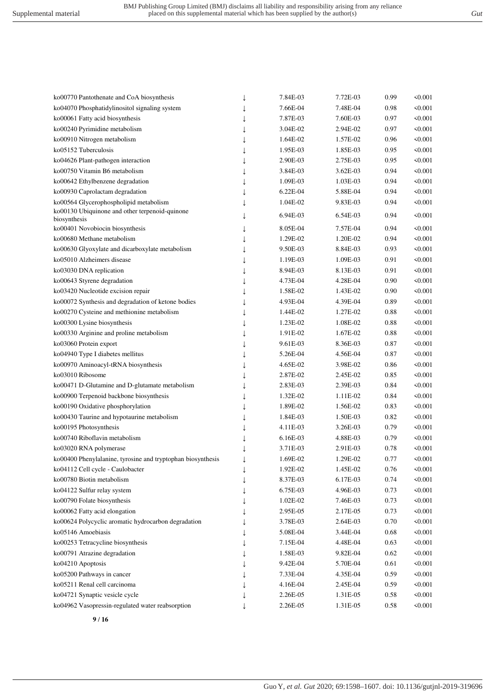ko00770 Pantothenate and CoA biosynthesis ↓ 7.84E-03 7.72E-03 0.99 <0.001

| ko04070 Phosphatidylinositol signaling system               | ↓ | 7.66E-04 | 7.48E-04 | 0.98 | < 0.001      |
|-------------------------------------------------------------|---|----------|----------|------|--------------|
| ko00061 Fatty acid biosynthesis                             |   | 7.87E-03 | 7.60E-03 | 0.97 | 50.001       |
| ko00240 Pyrimidine metabolism                               |   | 3.04E-02 | 2.94E-02 | 0.97 | 50.001       |
| ko00910 Nitrogen metabolism                                 |   | 1.64E-02 | 1.57E-02 | 0.96 | < 0.001      |
| ko05152 Tuberculosis                                        |   | 1.95E-03 | 1.85E-03 | 0.95 | < 0.001      |
| ko04626 Plant-pathogen interaction                          | T | 2.90E-03 | 2.75E-03 | 0.95 | < 0.001      |
| ko00750 Vitamin B6 metabolism                               |   | 3.84E-03 | 3.62E-03 | 0.94 | < 0.001      |
| ko00642 Ethylbenzene degradation                            |   | 1.09E-03 | 1.03E-03 | 0.94 | < 0.001      |
| ko00930 Caprolactam degradation                             |   | 6.22E-04 | 5.88E-04 | 0.94 | < 0.001      |
| ko00564 Glycerophospholipid metabolism                      | J | 1.04E-02 | 9.83E-03 | 0.94 | 50.001       |
| ko00130 Ubiquinone and other terpenoid-quinone              | T | 6.94E-03 | 6.54E-03 | 0.94 | $\leq 0.001$ |
| biosynthesis                                                |   |          |          |      |              |
| ko00401 Novobiocin biosynthesis                             | ↓ | 8.05E-04 | 7.57E-04 | 0.94 | 50.001       |
| ko00680 Methane metabolism                                  | T | 1.29E-02 | 1.20E-02 | 0.94 | 50.001       |
| ko00630 Glyoxylate and dicarboxylate metabolism             |   | 9.50E-03 | 8.84E-03 | 0.93 | < 0.001      |
| ko05010 Alzheimers disease                                  |   | 1.19E-03 | 1.09E-03 | 0.91 | 50.001       |
| ko03030 DNA replication                                     |   | 8.94E-03 | 8.13E-03 | 0.91 | < 0.001      |
| ko00643 Styrene degradation                                 |   | 4.73E-04 | 4.28E-04 | 0.90 | < 0.001      |
| ko03420 Nucleotide excision repair                          |   | 1.58E-02 | 1.43E-02 | 0.90 | < 0.001      |
| ko00072 Synthesis and degradation of ketone bodies          |   | 4.93E-04 | 4.39E-04 | 0.89 | < 0.001      |
| ko00270 Cysteine and methionine metabolism                  |   | 1.44E-02 | 1.27E-02 | 0.88 | $\leq 0.001$ |
| ko00300 Lysine biosynthesis                                 | J | 1.23E-02 | 1.08E-02 | 0.88 | 50.001       |
| ko00330 Arginine and proline metabolism                     | J | 1.91E-02 | 1.67E-02 | 0.88 | 50.001       |
| ko03060 Protein export                                      |   | 9.61E-03 | 8.36E-03 | 0.87 | < 0.001      |
| ko04940 Type I diabetes mellitus                            |   | 5.26E-04 | 4.56E-04 | 0.87 | < 0.001      |
| ko00970 Aminoacyl-tRNA biosynthesis                         | T | 4.65E-02 | 3.98E-02 | 0.86 | < 0.001      |
| ko03010 Ribosome                                            | T | 2.87E-02 | 2.45E-02 | 0.85 | < 0.001      |
| ko00471 D-Glutamine and D-glutamate metabolism              |   | 2.83E-03 | 2.39E-03 | 0.84 | < 0.001      |
| ko00900 Terpenoid backbone biosynthesis                     |   | 1.32E-02 | 1.11E-02 | 0.84 | < 0.001      |
| ko00190 Oxidative phosphorylation                           |   | 1.89E-02 | 1.56E-02 | 0.83 | < 0.001      |
| ko00430 Taurine and hypotaurine metabolism                  |   | 1.84E-03 | 1.50E-03 | 0.82 | $\leq 0.001$ |
| ko00195 Photosynthesis                                      |   | 4.11E-03 | 3.26E-03 | 0.79 | < 0.001      |
| ko00740 Riboflavin metabolism                               |   | 6.16E-03 | 4.88E-03 | 0.79 | 50.001       |
| ko03020 RNA polymerase                                      |   | 3.71E-03 | 2.91E-03 | 0.78 | 50.001       |
| ko00400 Phenylalanine, tyrosine and tryptophan biosynthesis |   | 1.69E-02 | 1.29E-02 | 0.77 | 50.001       |
| ko04112 Cell cycle - Caulobacter                            | J | 1.92E-02 | 1.45E-02 | 0.76 | 50.001       |
| ko00780 Biotin metabolism                                   |   | 8.37E-03 | 6.17E-03 | 0.74 | < 0.001      |
| ko04122 Sulfur relay system                                 |   | 6.75E-03 | 4.96E-03 | 0.73 | < 0.001      |
| ko00790 Folate biosynthesis                                 |   | 1.02E-02 | 7.46E-03 | 0.73 | < 0.001      |
| ko00062 Fatty acid elongation                               |   | 2.95E-05 | 2.17E-05 | 0.73 | < 0.001      |
| ko00624 Polycyclic aromatic hydrocarbon degradation         |   | 3.78E-03 | 2.64E-03 | 0.70 | < 0.001      |
| ko05146 Amoebiasis                                          |   | 5.08E-04 | 3.44E-04 | 0.68 | < 0.001      |
| ko00253 Tetracycline biosynthesis                           |   | 7.15E-04 | 4.48E-04 | 0.63 | < 0.001      |
|                                                             |   |          |          |      |              |
| ko00791 Atrazine degradation                                |   | 1.58E-03 | 9.82E-04 | 0.62 | < 0.001      |
| ko04210 Apoptosis                                           |   | 9.42E-04 | 5.70E-04 | 0.61 | < 0.001      |
| ko05200 Pathways in cancer                                  |   | 7.33E-04 | 4.35E-04 | 0.59 | < 0.001      |
| ko05211 Renal cell carcinoma                                |   | 4.16E-04 | 2.45E-04 | 0.59 | < 0.001      |
| ko04721 Synaptic vesicle cycle                              |   | 2.26E-05 | 1.31E-05 | 0.58 | < 0.001      |
| ko04962 Vasopressin-regulated water reabsorption            |   | 2.26E-05 | 1.31E-05 | 0.58 | < 0.001      |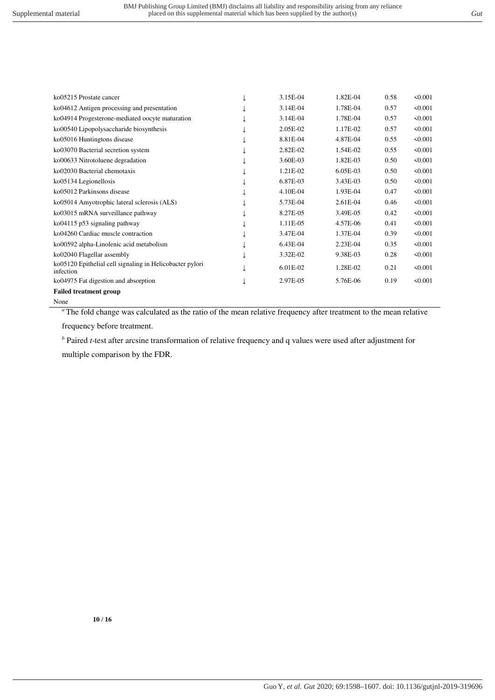| ko05215 Prostate cancer                                               | 3.15E-04   | 1.82E-04 | 0.58 | $\leq 0.001$ |
|-----------------------------------------------------------------------|------------|----------|------|--------------|
| ko04612 Antigen processing and presentation                           | 3.14E-04   | 1.78E-04 | 0.57 | $\leq 0.001$ |
| ko04914 Progesterone-mediated oocyte maturation                       | 3.14E-04   | 1.78E-04 | 0.57 | < 0.001      |
| ko00540 Lipopolysaccharide biosynthesis                               | 2.05E-02   | 1.17E-02 | 0.57 | $\leq 0.001$ |
| ko05016 Huntingtons disease                                           | 8.81E-04   | 4.87E-04 | 0.55 | < 0.001      |
| ko03070 Bacterial secretion system                                    | 2.82E-02   | 1.54E-02 | 0.55 | $\leq 0.001$ |
| ko00633 Nitrotoluene degradation                                      | 3.60E-03   | 1.82E-03 | 0.50 | $\leq 0.001$ |
| ko02030 Bacterial chemotaxis                                          | 1.21E-02   | 6.05E-03 | 0.50 | $\leq 0.001$ |
| ko05134 Legionellosis                                                 | 6.87E-03   | 3.43E-03 | 0.50 | $\leq 0.001$ |
| ko05012 Parkinsons disease                                            | 4.10E-04   | 1.93E-04 | 0.47 | $\leq 0.001$ |
| ko05014 Amyotrophic lateral sclerosis (ALS)                           | 5.73E-04   | 2.61E-04 | 0.46 | $\leq 0.001$ |
| ko03015 mRNA surveillance pathway                                     | 8.27E-05   | 3.49E-05 | 0.42 | $\leq 0.001$ |
| ko04115 p53 signaling pathway                                         | 1.11E-05   | 4.57E-06 | 0.41 | $\leq 0.001$ |
| ko04260 Cardiac muscle contraction                                    | 3.47E-04   | 1.37E-04 | 0.39 | $\leq 0.001$ |
| ko00592 alpha-Linolenic acid metabolism                               | 6.43E-04   | 2.23E-04 | 0.35 | $\leq 0.001$ |
| ko02040 Flagellar assembly                                            | 3.32E-02   | 9.38E-03 | 0.28 | $\leq 0.001$ |
| ko05120 Epithelial cell signaling in Helicobacter pylori<br>infection | $6.01E-02$ | 1.28E-02 | 0.21 | $\leq 0.001$ |
| ko04975 Fat digestion and absorption                                  | 2.97E-05   | 5.76E-06 | 0.19 | $\leq 0.001$ |
| <b>Failed treatment group</b>                                         |            |          |      |              |
|                                                                       |            |          |      |              |

None

*<sup>a</sup>* The fold change was calculated as the ratio of the mean relative frequency after treatment to the mean relative

frequency before treatment.

*b* Paired *t*-test after arcsine transformation of relative frequency and q values were used after adjustment for multiple comparison by the FDR.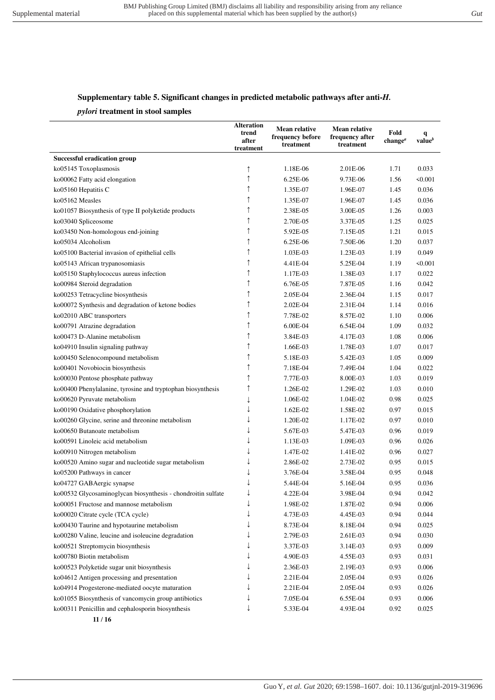#### **Supplementary table 5. Significant changes in predicted metabolic pathways after anti-***H.*

#### *pylori* **treatment in stool samples**

|                                                              | <b>Alteration</b><br>trend<br>after<br>treatment | <b>Mean relative</b><br>frequency before<br>treatment | <b>Mean relative</b><br>frequency after<br>treatment | Fold<br>change <sup><math>a</math></sup> | q<br>value <sup>b</sup> |
|--------------------------------------------------------------|--------------------------------------------------|-------------------------------------------------------|------------------------------------------------------|------------------------------------------|-------------------------|
| <b>Successful eradication group</b>                          |                                                  |                                                       |                                                      |                                          |                         |
| ko05145 Toxoplasmosis                                        |                                                  | 1.18E-06                                              | 2.01E-06                                             | 1.71                                     | 0.033                   |
| ko00062 Fatty acid elongation                                | ↑                                                | 6.25E-06                                              | 9.73E-06                                             | 1.56                                     | < 0.001                 |
| ko05160 Hepatitis C                                          |                                                  | 1.35E-07                                              | 1.96E-07                                             | 1.45                                     | 0.036                   |
| ko05162 Measles                                              |                                                  | 1.35E-07                                              | 1.96E-07                                             | 1.45                                     | 0.036                   |
| ko01057 Biosynthesis of type II polyketide products          |                                                  | 2.38E-05                                              | 3.00E-05                                             | 1.26                                     | 0.003                   |
| ko03040 Spliceosome                                          |                                                  | 2.70E-05                                              | 3.37E-05                                             | 1.25                                     | 0.025                   |
| ko03450 Non-homologous end-joining                           |                                                  | 5.92E-05                                              | 7.15E-05                                             | 1.21                                     | 0.015                   |
| ko05034 Alcoholism                                           |                                                  | 6.25E-06                                              | 7.50E-06                                             | 1.20                                     | 0.037                   |
| ko05100 Bacterial invasion of epithelial cells               |                                                  | 1.03E-03                                              | 1.23E-03                                             | 1.19                                     | 0.049                   |
| ko05143 African trypanosomiasis                              |                                                  | 4.41E-04                                              | 5.25E-04                                             | 1.19                                     | < 0.001                 |
| ko05150 Staphylococcus aureus infection                      |                                                  | 1.17E-03                                              | 1.38E-03                                             | 1.17                                     | 0.022                   |
| ko00984 Steroid degradation                                  |                                                  | 6.76E-05                                              | 7.87E-05                                             | 1.16                                     | 0.042                   |
| ko00253 Tetracycline biosynthesis                            |                                                  | 2.05E-04                                              | 2.36E-04                                             | 1.15                                     | 0.017                   |
| ko00072 Synthesis and degradation of ketone bodies           |                                                  | 2.02E-04                                              | 2.31E-04                                             | 1.14                                     | 0.016                   |
| ko02010 ABC transporters                                     |                                                  | 7.78E-02                                              | 8.57E-02                                             | 1.10                                     | 0.006                   |
| ko00791 Atrazine degradation                                 |                                                  | $6.00E-04$                                            | 6.54E-04                                             | 1.09                                     | 0.032                   |
| ko00473 D-Alanine metabolism                                 |                                                  | 3.84E-03                                              | 4.17E-03                                             | 1.08                                     | 0.006                   |
| ko04910 Insulin signaling pathway                            |                                                  | 1.66E-03                                              | 1.78E-03                                             | 1.07                                     | 0.017                   |
| ko00450 Selenocompound metabolism                            |                                                  | 5.18E-03                                              | 5.42E-03                                             | 1.05                                     | 0.009                   |
| ko00401 Novobiocin biosynthesis                              | ↑                                                | 7.18E-04                                              | 7.49E-04                                             | 1.04                                     | 0.022                   |
| ko00030 Pentose phosphate pathway                            | ↑                                                | 7.77E-03                                              | 8.00E-03                                             | 1.03                                     | 0.019                   |
| ko00400 Phenylalanine, tyrosine and tryptophan biosynthesis  |                                                  | 1.26E-02                                              | 1.29E-02                                             | 1.03                                     | 0.010                   |
| ko00620 Pyruvate metabolism                                  |                                                  | 1.06E-02                                              | 1.04E-02                                             | 0.98                                     | 0.025                   |
| ko00190 Oxidative phosphorylation                            |                                                  | 1.62E-02                                              | 1.58E-02                                             | 0.97                                     | 0.015                   |
| ko00260 Glycine, serine and threonine metabolism             |                                                  | 1.20E-02                                              | 1.17E-02                                             | 0.97                                     | 0.010                   |
| ko00650 Butanoate metabolism                                 |                                                  | 5.67E-03                                              | 5.47E-03                                             | 0.96                                     | 0.019                   |
| ko00591 Linoleic acid metabolism                             |                                                  | 1.13E-03                                              | 1.09E-03                                             | 0.96                                     | 0.026                   |
| ko00910 Nitrogen metabolism                                  |                                                  | 1.47E-02                                              | 1.41E-02                                             | 0.96                                     | 0.027                   |
| ko00520 Amino sugar and nucleotide sugar metabolism          |                                                  | 2.86E-02                                              | 2.73E-02                                             | 0.95                                     | 0.015                   |
| ko05200 Pathways in cancer                                   |                                                  | 3.76E-04                                              | 3.58E-04                                             | 0.95                                     | 0.048                   |
| ko04727 GABAergic synapse                                    |                                                  | 5.44E-04                                              | 5.16E-04                                             | 0.95                                     | 0.036                   |
| ko00532 Glycosaminoglycan biosynthesis - chondroitin sulfate |                                                  | 4.22E-04                                              | 3.98E-04                                             | 0.94                                     | 0.042                   |
| ko00051 Fructose and mannose metabolism                      |                                                  | 1.98E-02                                              | 1.87E-02                                             | 0.94                                     | 0.006                   |
| ko00020 Citrate cycle (TCA cycle)                            |                                                  | 4.73E-03                                              | 4.45E-03                                             | 0.94                                     | 0.044                   |
| ko00430 Taurine and hypotaurine metabolism                   |                                                  | 8.73E-04                                              | 8.18E-04                                             | 0.94                                     | 0.025                   |
| ko00280 Valine, leucine and isoleucine degradation           |                                                  | 2.79E-03                                              | 2.61E-03                                             | 0.94                                     | 0.030                   |
| ko00521 Streptomycin biosynthesis                            |                                                  | 3.37E-03                                              | 3.14E-03                                             | 0.93                                     | 0.009                   |
| ko00780 Biotin metabolism                                    |                                                  | 4.90E-03                                              | 4.55E-03                                             | 0.93                                     | 0.031                   |
| ko00523 Polyketide sugar unit biosynthesis                   |                                                  | 2.36E-03                                              | 2.19E-03                                             | 0.93                                     | 0.006                   |
| ko04612 Antigen processing and presentation                  |                                                  | 2.21E-04                                              | 2.05E-04                                             | 0.93                                     | 0.026                   |
| ko04914 Progesterone-mediated oocyte maturation              |                                                  | 2.21E-04                                              | 2.05E-04                                             | 0.93                                     | 0.026                   |
| ko01055 Biosynthesis of vancomycin group antibiotics         |                                                  | 7.05E-04                                              | 6.55E-04                                             | 0.93                                     | 0.006                   |
| ko00311 Penicillin and cephalosporin biosynthesis            |                                                  | 5.33E-04                                              | 4.93E-04                                             | 0.92                                     | 0.025                   |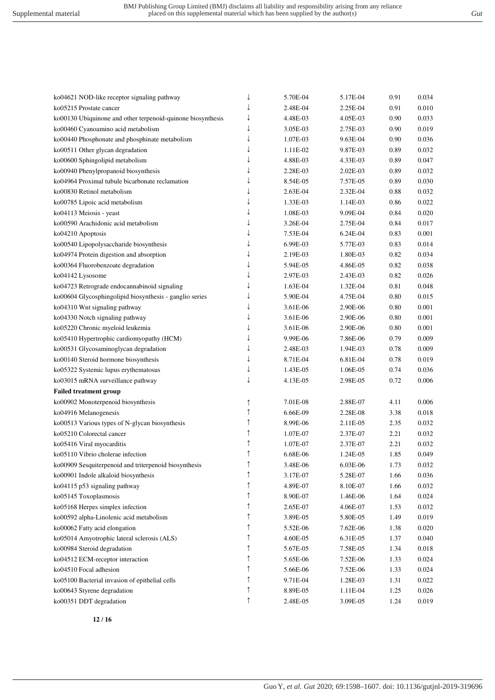| ko04621 NOD-like receptor signaling pathway                 | ↓ | 5.70E-04 | 5.17E-04 | 0.91 | 0.034 |
|-------------------------------------------------------------|---|----------|----------|------|-------|
| ko05215 Prostate cancer                                     |   | 2.48E-04 | 2.25E-04 | 0.91 | 0.010 |
| ko00130 Ubiquinone and other terpenoid-quinone biosynthesis | ↓ | 4.48E-03 | 4.05E-03 | 0.90 | 0.033 |
| ko00460 Cyanoamino acid metabolism                          | ↓ | 3.05E-03 | 2.75E-03 | 0.90 | 0.019 |
| ko00440 Phosphonate and phosphinate metabolism              | ↓ | 1.07E-03 | 9.63E-04 | 0.90 | 0.036 |
| ko00511 Other glycan degradation                            |   | 1.11E-02 | 9.87E-03 | 0.89 | 0.032 |
| ko00600 Sphingolipid metabolism                             |   | 4.88E-03 | 4.33E-03 | 0.89 | 0.047 |
| ko00940 Phenylpropanoid biosynthesis                        |   | 2.28E-03 | 2.02E-03 | 0.89 | 0.032 |
| ko04964 Proximal tubule bicarbonate reclamation             |   | 8.54E-05 | 7.57E-05 | 0.89 | 0.030 |
| ko00830 Retinol metabolism                                  |   | 2.63E-04 | 2.32E-04 | 0.88 | 0.032 |
| ko00785 Lipoic acid metabolism                              |   | 1.33E-03 | 1.14E-03 | 0.86 | 0.022 |
| ko04113 Meiosis - yeast                                     |   | 1.08E-03 | 9.09E-04 | 0.84 | 0.020 |
| ko00590 Arachidonic acid metabolism                         |   | 3.26E-04 | 2.75E-04 | 0.84 | 0.017 |
| ko04210 Apoptosis                                           |   | 7.53E-04 | 6.24E-04 | 0.83 | 0.001 |
| ko00540 Lipopolysaccharide biosynthesis                     |   | 6.99E-03 | 5.77E-03 | 0.83 | 0.014 |
| ko04974 Protein digestion and absorption                    |   | 2.19E-03 | 1.80E-03 | 0.82 | 0.034 |
| ko00364 Fluorobenzoate degradation                          |   | 5.94E-05 | 4.86E-05 | 0.82 | 0.038 |
| ko04142 Lysosome                                            |   | 2.97E-03 | 2.43E-03 | 0.82 | 0.026 |
| ko04723 Retrograde endocannabinoid signaling                |   | 1.63E-04 | 1.32E-04 | 0.81 | 0.048 |
| ko00604 Glycosphingolipid biosynthesis - ganglio series     |   | 5.90E-04 | 4.75E-04 | 0.80 | 0.015 |
| ko04310 Wnt signaling pathway                               |   | 3.61E-06 | 2.90E-06 | 0.80 | 0.001 |
| ko04330 Notch signaling pathway                             |   | 3.61E-06 | 2.90E-06 | 0.80 | 0.001 |
| ko05220 Chronic myeloid leukemia                            |   | 3.61E-06 | 2.90E-06 | 0.80 | 0.001 |
| ko05410 Hypertrophic cardiomyopathy (HCM)                   |   | 9.99E-06 | 7.86E-06 | 0.79 | 0.009 |
| ko00531 Glycosaminoglycan degradation                       |   | 2.48E-03 | 1.94E-03 | 0.78 | 0.009 |
| ko00140 Steroid hormone biosynthesis                        |   | 8.71E-04 | 6.81E-04 | 0.78 | 0.019 |
| ko05322 Systemic lupus erythematosus                        |   | 1.43E-05 | 1.06E-05 | 0.74 | 0.036 |
| ko03015 mRNA surveillance pathway                           | T | 4.13E-05 | 2.98E-05 | 0.72 | 0.006 |
|                                                             |   |          |          |      |       |
| <b>Failed treatment group</b>                               |   |          |          |      |       |
| ko00902 Monoterpenoid biosynthesis                          | ↑ | 7.01E-08 | 2.88E-07 | 4.11 | 0.006 |
| ko04916 Melanogenesis                                       | ↑ | 6.66E-09 | 2.28E-08 | 3.38 | 0.018 |
| ko00513 Various types of N-glycan biosynthesis              |   | 8.99E-06 | 2.11E-05 | 2.35 | 0.032 |
| ko05210 Colorectal cancer                                   |   | 1.07E-07 | 2.37E-07 | 2.21 | 0.032 |
| ko05416 Viral myocarditis                                   |   | 1.07E-07 | 2.37E-07 | 2.21 | 0.032 |
| ko05110 Vibrio cholerae infection                           |   | 6.68E-06 | 1.24E-05 | 1.85 | 0.049 |
| ko00909 Sesquiterpenoid and triterpenoid biosynthesis       | ↑ | 3.48E-06 | 6.03E-06 | 1.73 | 0.032 |
| ko00901 Indole alkaloid biosynthesis                        | ↑ | 3.17E-07 | 5.28E-07 | 1.66 | 0.036 |
| ko04115 p53 signaling pathway                               | î | 4.89E-07 | 8.10E-07 | 1.66 | 0.032 |
| ko05145 Toxoplasmosis                                       |   | 8.90E-07 | 1.46E-06 | 1.64 | 0.024 |
| ko05168 Herpes simplex infection                            |   | 2.65E-07 | 4.06E-07 | 1.53 | 0.032 |
| ko00592 alpha-Linolenic acid metabolism                     |   | 3.89E-05 | 5.80E-05 | 1.49 | 0.019 |
| ko00062 Fatty acid elongation                               |   | 5.52E-06 | 7.62E-06 | 1.38 | 0.020 |
| ko05014 Amyotrophic lateral sclerosis (ALS)                 |   | 4.60E-05 | 6.31E-05 | 1.37 | 0.040 |
| ko00984 Steroid degradation                                 |   | 5.67E-05 | 7.58E-05 | 1.34 | 0.018 |
| ko04512 ECM-receptor interaction                            |   | 5.65E-06 | 7.52E-06 | 1.33 | 0.024 |
| ko04510 Focal adhesion                                      |   | 5.66E-06 | 7.52E-06 | 1.33 | 0.024 |
| ko05100 Bacterial invasion of epithelial cells              |   | 9.71E-04 | 1.28E-03 | 1.31 | 0.022 |
| ko00643 Styrene degradation                                 | î | 8.89E-05 | 1.11E-04 | 1.25 | 0.026 |
| ko00351 DDT degradation                                     | ↑ | 2.48E-05 | 3.09E-05 | 1.24 | 0.019 |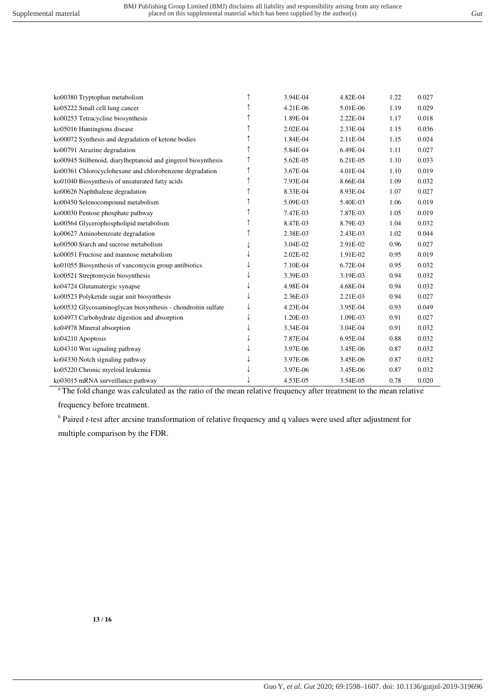| ko00380 Tryptophan metabolism                                 | ↑ | 3.94E-04 | 4.82E-04 | 1.22 | 0.027 |
|---------------------------------------------------------------|---|----------|----------|------|-------|
| ko05222 Small cell lung cancer                                |   | 4.21E-06 | 5.01E-06 | 1.19 | 0.029 |
| ko00253 Tetracycline biosynthesis                             |   | 1.89E-04 | 2.22E-04 | 1.17 | 0.018 |
| ko05016 Huntingtons disease                                   |   | 2.02E-04 | 2.33E-04 | 1.15 | 0.036 |
| ko00072 Synthesis and degradation of ketone bodies            |   | 1.84E-04 | 2.11E-04 | 1.15 | 0.024 |
| ko00791 Atrazine degradation                                  | ↑ | 5.84E-04 | 6.49E-04 | 1.11 | 0.027 |
| ko00945 Stilbenoid, diarylheptanoid and gingerol biosynthesis |   | 5.62E-05 | 6.21E-05 | 1.10 | 0.033 |
| ko00361 Chlorocyclohexane and chlorobenzene degradation       |   | 3.67E-04 | 4.01E-04 | 1.10 | 0.019 |
| ko01040 Biosynthesis of unsaturated fatty acids               |   | 7.93E-04 | 8.66E-04 | 1.09 | 0.032 |
| ko00626 Naphthalene degradation                               | ↑ | 8.33E-04 | 8.93E-04 | 1.07 | 0.027 |
| ko00450 Selenocompound metabolism                             | ↑ | 5.09E-03 | 5.40E-03 | 1.06 | 0.019 |
| ko00030 Pentose phosphate pathway                             |   | 7.47E-03 | 7.87E-03 | 1.05 | 0.019 |
| ko00564 Glycerophospholipid metabolism                        |   | 8.47E-03 | 8.79E-03 | 1.04 | 0.032 |
| ko00627 Aminobenzoate degradation                             |   | 2.38E-03 | 2.43E-03 | 1.02 | 0.044 |
| ko00500 Starch and sucrose metabolism                         |   | 3.04E-02 | 2.91E-02 | 0.96 | 0.027 |
| ko00051 Fructose and mannose metabolism                       |   | 2.02E-02 | 1.91E-02 | 0.95 | 0.019 |
| ko01055 Biosynthesis of vancomycin group antibiotics          |   | 7.10E-04 | 6.72E-04 | 0.95 | 0.032 |
| ko00521 Streptomycin biosynthesis                             |   | 3.39E-03 | 3.19E-03 | 0.94 | 0.032 |
| ko04724 Glutamatergic synapse                                 |   | 4.98E-04 | 4.68E-04 | 0.94 | 0.032 |
| ko00523 Polyketide sugar unit biosynthesis                    |   | 2.36E-03 | 2.21E-03 | 0.94 | 0.027 |
| ko00532 Glycosaminoglycan biosynthesis - chondroitin sulfate  |   | 4.23E-04 | 3.95E-04 | 0.93 | 0.049 |
| ko04973 Carbohydrate digestion and absorption                 |   | 1.20E-03 | 1.09E-03 | 0.91 | 0.027 |
| ko04978 Mineral absorption                                    |   | 3.34E-04 | 3.04E-04 | 0.91 | 0.032 |
| ko04210 Apoptosis                                             |   | 7.87E-04 | 6.95E-04 | 0.88 | 0.032 |
| ko04310 Wnt signaling pathway                                 |   | 3.97E-06 | 3.45E-06 | 0.87 | 0.032 |
| ko04330 Notch signaling pathway                               |   | 3.97E-06 | 3.45E-06 | 0.87 | 0.032 |
| ko05220 Chronic myeloid leukemia                              |   | 3.97E-06 | 3.45E-06 | 0.87 | 0.032 |
| ko03015 mRNA surveillance pathway                             |   | 4.53E-05 | 3.54E-05 | 0.78 | 0.020 |

<sup>a</sup> The fold change was calculated as the ratio of the mean relative frequency after treatment to the mean relative

frequency before treatment.

*b* Paired *t*-test after arcsine transformation of relative frequency and q values were used after adjustment for multiple comparison by the FDR.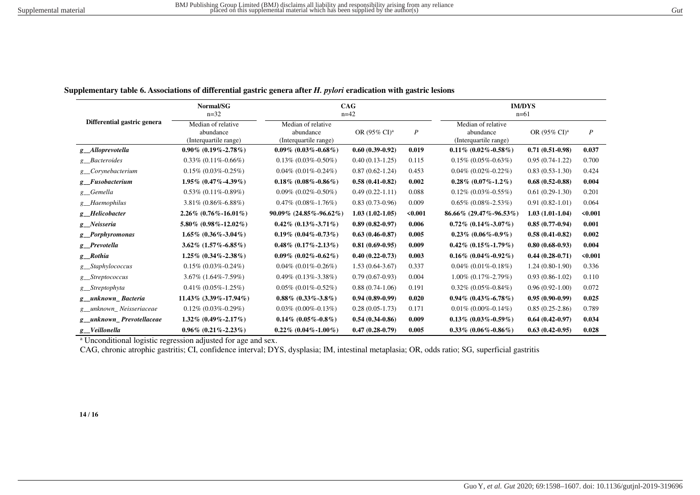| ×<br>I<br>w<br>. |
|------------------|
|                  |

| Differential gastric genera  | Normal/SG<br>$n = 32$                                    | CAG<br>$n = 42$                                          |                                   |                  | <b>IM/DYS</b><br>$n=61$                                  |                          |                  |  |
|------------------------------|----------------------------------------------------------|----------------------------------------------------------|-----------------------------------|------------------|----------------------------------------------------------|--------------------------|------------------|--|
|                              | Median of relative<br>abundance<br>(Interquartile range) | Median of relative<br>abundance<br>(Interquartile range) | OR $(95\% \text{ CI})^{\text{a}}$ | $\boldsymbol{P}$ | Median of relative<br>abundance<br>(Interquartile range) | OR (95% CI) <sup>a</sup> | $\boldsymbol{P}$ |  |
| g Alloprevotella             | $0.90\%$ (0.19%-2.78%)                                   | $0.09\%$ (0.03%-0.68%)                                   | $0.60(0.39-0.92)$                 | 0.019            | $0.11\%$ (0.02\%-0.58\%)                                 | $0.71(0.51-0.98)$        | 0.037            |  |
| g_Bacteroides                | $0.33\%$ (0.11\%-0.66\%)                                 | $0.13\%$ (0.03%-0.50%)                                   | $0.40(0.13-1.25)$                 | 0.115            | $0.15\%$ (0.05%-0.63%)                                   | $0.95(0.74-1.22)$        | 0.700            |  |
| g_Corynebacterium            | $0.15\%$ (0.03\%-0.25\%)                                 | $0.04\%$ (0.01\%-0.24\%)                                 | $0.87(0.62 - 1.24)$               | 0.453            | $0.04\%$ (0.02\%-0.22\%)                                 | $0.83(0.53-1.30)$        | 0.424            |  |
| g Fusobacterium              | $1.95\%$ (0.47%-4.39%)                                   | $0.18\%$ (0.08%-0.86%)                                   | $0.58(0.41 - 0.82)$               | 0.002            | $0.28\%$ (0.07%-1.2%)                                    | $0.68(0.52-0.88)$        | 0.004            |  |
| g_Gemella                    | $0.53\%$ (0.11%-0.89%)                                   | $0.09\%$ (0.02\%-0.50\%)                                 | $0.49(0.22-1.11)$                 | 0.088            | $0.12\%$ (0.03%-0.55%)                                   | $0.61(0.29-1.30)$        | 0.201            |  |
| g_Haemophilus                | $3.81\% (0.86\% - 6.88\%)$                               | $0.47\%$ (0.08\%-1.76\%)                                 | $0.83(0.73-0.96)$                 | 0.009            | $0.65\%$ (0.08%-2.53%)                                   | $0.91(0.82-1.01)$        | 0.064            |  |
| g Helicobacter               | $2.26\%$ (0.76%-16.01%)                                  | $90.09\%$ (24.85%-96.62%)                                | $1.03(1.02-1.05)$                 | $0.001$          | $86.66\%$ (29.47%-96.53%)                                | $1.03(1.01-1.04)$        | < 0.001          |  |
| g Neisseria                  | $5.80\%$ (0.98%-12.02%)                                  | $0.42\%$ (0.13\%-3.71\%)                                 | $0.89(0.82 - 0.97)$               | 0.006            | $0.72\%$ (0.14\%-3.07\%)                                 | $0.85(0.77-0.94)$        | 0.001            |  |
| g_Porphyromonas              | $1.65\%$ (0.36%-3.04%)                                   | $0.19\%$ (0.04%-0.73%)                                   | $0.63(0.46 - 0.87)$               | 0.005            | $0.23\%$ (0.06%-0.9%)                                    | $0.58(0.41-0.82)$        | 0.002            |  |
| g_Prevotella                 | $3.62\%$ $(1.57\% - 6.85\%)$                             | $0.48\%$ (0.17%-2.13%)                                   | $0.81(0.69-0.95)$                 | 0.009            | $0.42\%$ $(0.15\% - 1.79\%)$                             | $0.80(0.68-0.93)$        | 0.004            |  |
| g_Rothia                     | $1.25\%$ (0.34%-2.38%)                                   | $0.09\%$ $(0.02\% - 0.62\%)$                             | $0.40(0.22 - 0.73)$               | 0.003            | $0.16\%$ (0.04%-0.92%)                                   | $0.44(0.28-0.71)$        | < 0.001          |  |
| g_Staphylococcus             | $0.15\%$ (0.03\%-0.24\%)                                 | $0.04\%$ (0.01\%-0.26\%)                                 | $1.53(0.64-3.67)$                 | 0.337            | $0.04\%$ (0.01\%-0.18\%)                                 | $1.24(0.80-1.90)$        | 0.336            |  |
| g Streptococcus              | $3.67\%$ (1.64%-7.59%)                                   | $0.49\%$ $(0.13\% - 3.38\%)$                             | $0.79(0.67-0.93)$                 | 0.004            | $1.00\%$ (0.17%-2.79%)                                   | $0.93(0.86-1.02)$        | 0.110            |  |
| g_Streptophyta               | $0.41\%$ (0.05%-1.25%)                                   | $0.05\%$ (0.01\%-0.52\%)                                 | $0.88(0.74-1.06)$                 | 0.191            | $0.32\%$ (0.05%-0.84%)                                   | $0.96(0.92-1.00)$        | 0.072            |  |
| g_unknown_Bacteria           | $11.43\%$ (3.39%-17.94%)                                 | $0.88\%$ (0.33%-3.8%)                                    | $0.94(0.89-0.99)$                 | 0.020            | $0.94\%$ $(0.43\% - 6.78\%)$                             | $0.95(0.90-0.99)$        | 0.025            |  |
| g unknown Neisseriaceae      | $0.12\%$ (0.03%-0.29%)                                   | $0.03\%$ (0.00%-0.13%)                                   | $0.28(0.05-1.73)$                 | 0.171            | $0.01\%$ (0.00%-0.14%)                                   | $0.85(0.25-2.86)$        | 0.789            |  |
| g_unknown_Prevotellaceae     | $1.32\%$ (0.49%-2.17%)                                   | $0.14\%$ (0.05%-0.8%)                                    | $0.54(0.34-0.86)$                 | 0.009            | $0.13\%$ (0.03%-0.59%)                                   | $0.64(0.42-0.97)$        | 0.034            |  |
| $g$ <sub>_</sub> Veillonella | $0.96\%$ $(0.21\% - 2.23\%)$                             | $0.22\%$ (0.04%-1.00%)                                   | $0.47(0.28-0.79)$                 | 0.005            | $0.33\%$ (0.06%-0.86%)                                   | $0.63(0.42-0.95)$        | 0.028            |  |

**Supplementary table 6. Associations of differential gastric genera after** *H. pylori* **eradication with gastric lesions** 

<sup>a</sup> Unconditional logistic regression adjusted for age and sex.

CAG, chronic atrophic gastritis; CI, confidence interval; DYS, dysplasia; IM, intestinal metaplasia; OR, odds ratio; SG, superficial gastritis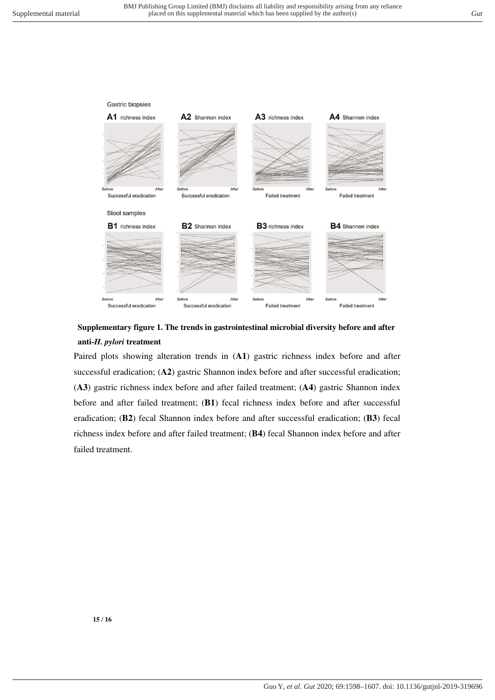

# **Supplementary figure 1. The trends in gastrointestinal microbial diversity before and after anti-***H. pylori* **treatment**

Paired plots showing alteration trends in (**A1**) gastric richness index before and after successful eradication; (A2) gastric Shannon index before and after successful eradication; (**A3**) gastric richness index before and after failed treatment; (**A4**) gastric Shannon index before and after failed treatment; (**B1**) fecal richness index before and after successful eradication; (**B2**) fecal Shannon index before and after successful eradication; (**B3**) fecal richness index before and after failed treatment; (**B4**) fecal Shannon index before and after failed treatment.